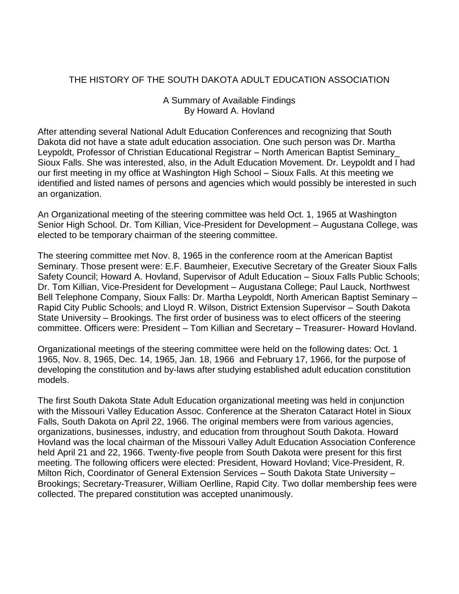#### THE HISTORY OF THE SOUTH DAKOTA ADULT EDUCATION ASSOCIATION

#### A Summary of Available Findings By Howard A. Hovland

After attending several National Adult Education Conferences and recognizing that South Dakota did not have a state adult education association. One such person was Dr. Martha Leypoldt, Professor of Christian Educational Registrar – North American Baptist Seminary\_ Sioux Falls. She was interested, also, in the Adult Education Movement. Dr. Leypoldt and I had our first meeting in my office at Washington High School – Sioux Falls. At this meeting we identified and listed names of persons and agencies which would possibly be interested in such an organization.

An Organizational meeting of the steering committee was held Oct. 1, 1965 at Washington Senior High School. Dr. Tom Killian, Vice-President for Development – Augustana College, was elected to be temporary chairman of the steering committee.

The steering committee met Nov. 8, 1965 in the conference room at the American Baptist Seminary. Those present were: E.F. Baumheier, Executive Secretary of the Greater Sioux Falls Safety Council; Howard A. Hovland, Supervisor of Adult Education – Sioux Falls Public Schools; Dr. Tom Killian, Vice-President for Development – Augustana College; Paul Lauck, Northwest Bell Telephone Company, Sioux Falls: Dr. Martha Leypoldt, North American Baptist Seminary – Rapid City Public Schools; and Lloyd R. Wilson, District Extension Supervisor – South Dakota State University – Brookings. The first order of business was to elect officers of the steering committee. Officers were: President – Tom Killian and Secretary – Treasurer- Howard Hovland.

Organizational meetings of the steering committee were held on the following dates: Oct. 1 1965, Nov. 8, 1965, Dec. 14, 1965, Jan. 18, 1966 and February 17, 1966, for the purpose of developing the constitution and by-laws after studying established adult education constitution models.

The first South Dakota State Adult Education organizational meeting was held in conjunction with the Missouri Valley Education Assoc. Conference at the Sheraton Cataract Hotel in Sioux Falls, South Dakota on April 22, 1966. The original members were from various agencies, organizations, businesses, industry, and education from throughout South Dakota. Howard Hovland was the local chairman of the Missouri Valley Adult Education Association Conference held April 21 and 22, 1966. Twenty-five people from South Dakota were present for this first meeting. The following officers were elected: President, Howard Hovland; Vice-President, R. Milton Rich, Coordinator of General Extension Services – South Dakota State University – Brookings; Secretary-Treasurer, William Oerlline, Rapid City. Two dollar membership fees were collected. The prepared constitution was accepted unanimously.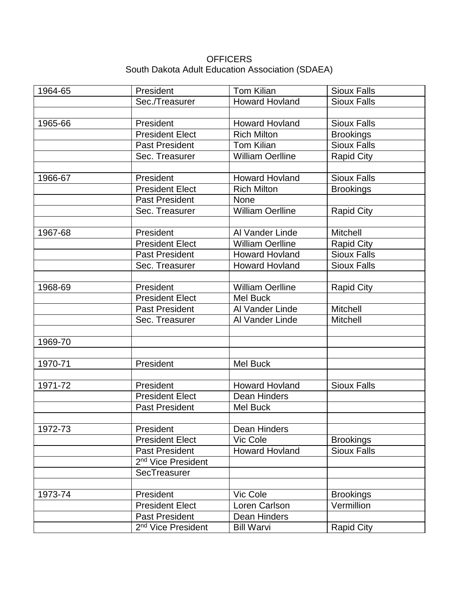#### **OFFICERS** South Dakota Adult Education Association (SDAEA)

| 1964-65 | President                      | Tom Kilian              | <b>Sioux Falls</b> |
|---------|--------------------------------|-------------------------|--------------------|
|         | Sec./Treasurer                 | <b>Howard Hovland</b>   | <b>Sioux Falls</b> |
|         |                                |                         |                    |
| 1965-66 | President                      | <b>Howard Hovland</b>   | <b>Sioux Falls</b> |
|         | <b>President Elect</b>         | <b>Rich Milton</b>      | <b>Brookings</b>   |
|         | <b>Past President</b>          | <b>Tom Kilian</b>       | <b>Sioux Falls</b> |
|         | Sec. Treasurer                 | <b>William Oerlline</b> | <b>Rapid City</b>  |
|         |                                |                         |                    |
| 1966-67 | President                      | <b>Howard Hovland</b>   | <b>Sioux Falls</b> |
|         | <b>President Elect</b>         | <b>Rich Milton</b>      | <b>Brookings</b>   |
|         | <b>Past President</b>          | <b>None</b>             |                    |
|         | Sec. Treasurer                 | <b>William Oerlline</b> | <b>Rapid City</b>  |
|         |                                |                         |                    |
| 1967-68 | President                      | Al Vander Linde         | <b>Mitchell</b>    |
|         | <b>President Elect</b>         | <b>William Oerlline</b> | Rapid City         |
|         | <b>Past President</b>          | <b>Howard Hovland</b>   | <b>Sioux Falls</b> |
|         | Sec. Treasurer                 | <b>Howard Hovland</b>   | <b>Sioux Falls</b> |
|         |                                |                         |                    |
| 1968-69 | President                      | <b>William Oerlline</b> | <b>Rapid City</b>  |
|         | <b>President Elect</b>         | <b>Mel Buck</b>         |                    |
|         | <b>Past President</b>          | Al Vander Linde         | <b>Mitchell</b>    |
|         | Sec. Treasurer                 | Al Vander Linde         | <b>Mitchell</b>    |
|         |                                |                         |                    |
| 1969-70 |                                |                         |                    |
|         |                                |                         |                    |
| 1970-71 | President                      | <b>Mel Buck</b>         |                    |
|         |                                |                         |                    |
| 1971-72 | President                      | <b>Howard Hovland</b>   | <b>Sioux Falls</b> |
|         | <b>President Elect</b>         | Dean Hinders            |                    |
|         | <b>Past President</b>          | <b>Mel Buck</b>         |                    |
|         |                                |                         |                    |
| 1972-73 | President                      | Dean Hinders            |                    |
|         | <b>President Elect</b>         | Vic Cole                | <b>Brookings</b>   |
|         | <b>Past President</b>          | <b>Howard Hovland</b>   | <b>Sioux Falls</b> |
|         | 2 <sup>nd</sup> Vice President |                         |                    |
|         | SecTreasurer                   |                         |                    |
|         |                                |                         |                    |
| 1973-74 | President                      | Vic Cole                | <b>Brookings</b>   |
|         | <b>President Elect</b>         | Loren Carlson           | Vermillion         |
|         | <b>Past President</b>          | <b>Dean Hinders</b>     |                    |
|         | 2 <sup>nd</sup> Vice President | <b>Bill Warvi</b>       | <b>Rapid City</b>  |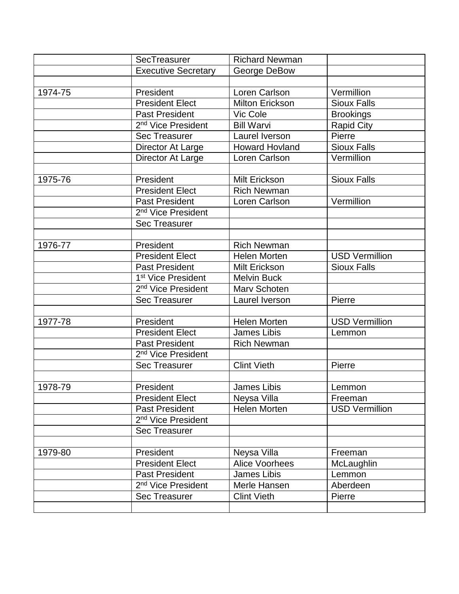|         | SecTreasurer                   | <b>Richard Newman</b>  |                       |
|---------|--------------------------------|------------------------|-----------------------|
|         | <b>Executive Secretary</b>     | George DeBow           |                       |
|         |                                |                        |                       |
| 1974-75 | President                      | Loren Carlson          | Vermillion            |
|         | <b>President Elect</b>         | <b>Milton Erickson</b> | <b>Sioux Falls</b>    |
|         | Past President                 | Vic Cole               | <b>Brookings</b>      |
|         | 2 <sup>nd</sup> Vice President | <b>Bill Warvi</b>      | <b>Rapid City</b>     |
|         | <b>Sec Treasurer</b>           | Laurel Iverson         | Pierre                |
|         | Director At Large              | <b>Howard Hovland</b>  | <b>Sioux Falls</b>    |
|         | Director At Large              | Loren Carlson          | Vermillion            |
|         |                                |                        |                       |
| 1975-76 | President                      | Milt Erickson          | <b>Sioux Falls</b>    |
|         | <b>President Elect</b>         | <b>Rich Newman</b>     |                       |
|         | <b>Past President</b>          | Loren Carlson          | Vermillion            |
|         | 2 <sup>nd</sup> Vice President |                        |                       |
|         | <b>Sec Treasurer</b>           |                        |                       |
|         |                                |                        |                       |
| 1976-77 | President                      | <b>Rich Newman</b>     |                       |
|         | <b>President Elect</b>         | <b>Helen Morten</b>    | <b>USD Vermillion</b> |
|         | <b>Past President</b>          | Milt Erickson          | <b>Sioux Falls</b>    |
|         | 1 <sup>st</sup> Vice President | <b>Melvin Buck</b>     |                       |
|         | 2 <sup>nd</sup> Vice President | Marv Schoten           |                       |
|         | <b>Sec Treasurer</b>           | Laurel Iverson         | Pierre                |
|         |                                |                        |                       |
| 1977-78 | President                      | <b>Helen Morten</b>    | <b>USD Vermillion</b> |
|         | <b>President Elect</b>         | <b>James Libis</b>     | Lemmon                |
|         | <b>Past President</b>          | <b>Rich Newman</b>     |                       |
|         | 2 <sup>nd</sup> Vice President |                        |                       |
|         | <b>Sec Treasurer</b>           | <b>Clint Vieth</b>     | Pierre                |
|         |                                |                        |                       |
| 1978-79 | President                      | James Libis            | Lemmon                |
|         | <b>President Elect</b>         | Neysa Villa            | Freeman               |
|         | <b>Past President</b>          | <b>Helen Morten</b>    | <b>USD Vermillion</b> |
|         | 2 <sup>nd</sup> Vice President |                        |                       |
|         | <b>Sec Treasurer</b>           |                        |                       |
|         |                                |                        |                       |
| 1979-80 | President                      | Neysa Villa            | Freeman               |
|         | <b>President Elect</b>         | <b>Alice Voorhees</b>  | McLaughlin            |
|         | <b>Past President</b>          | <b>James Libis</b>     | Lemmon                |
|         | 2 <sup>nd</sup> Vice President | Merle Hansen           | Aberdeen              |
|         | <b>Sec Treasurer</b>           | <b>Clint Vieth</b>     | Pierre                |
|         |                                |                        |                       |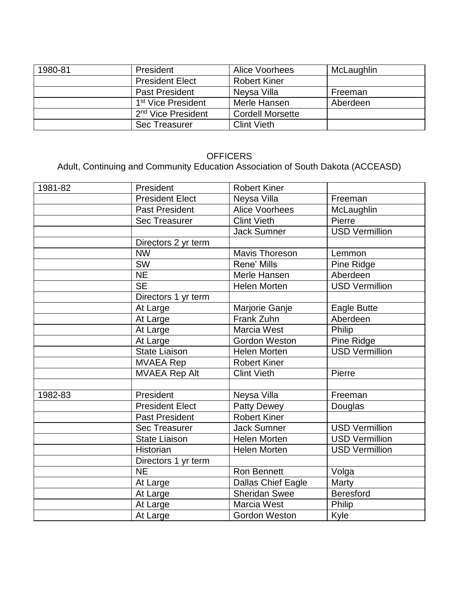| 1980-81 | President                      | <b>Alice Voorhees</b>   | McLaughlin |
|---------|--------------------------------|-------------------------|------------|
|         | <b>President Elect</b>         | <b>Robert Kiner</b>     |            |
|         | <b>Past President</b>          | Neysa Villa             | Freeman    |
|         | 1 <sup>st</sup> Vice President | Merle Hansen            | Aberdeen   |
|         | 2 <sup>nd</sup> Vice President | <b>Cordell Morsette</b> |            |
|         | <b>Sec Treasurer</b>           | <b>Clint Vieth</b>      |            |

## **OFFICERS**

## Adult, Continuing and Community Education Association of South Dakota (ACCEASD)

| 1981-82 | President                | <b>Robert Kiner</b>   |                       |
|---------|--------------------------|-----------------------|-----------------------|
|         | <b>President Elect</b>   | Neysa Villa           | Freeman               |
|         | <b>Past President</b>    | <b>Alice Voorhees</b> | McLaughlin            |
|         | <b>Sec Treasurer</b>     | <b>Clint Vieth</b>    | Pierre                |
|         |                          | <b>Jack Sumner</b>    | <b>USD Vermillion</b> |
|         | Directors 2 yr term      |                       |                       |
|         | <b>NW</b>                | <b>Mavis Thoreson</b> | Lemmon                |
|         | <b>SW</b>                | Rene' Mills           | Pine Ridge            |
|         | <b>NE</b>                | Merle Hansen          | Aberdeen              |
|         | $\overline{\mathsf{SE}}$ | <b>Helen Morten</b>   | <b>USD Vermillion</b> |
|         | Directors 1 yr term      |                       |                       |
|         | At Large                 | Marjorie Ganje        | Eagle Butte           |
|         | At Large                 | Frank Zuhn            | Aberdeen              |
|         | At Large                 | Marcia West           | Philip                |
|         | At Large                 | <b>Gordon Weston</b>  | Pine Ridge            |
|         | <b>State Liaison</b>     | <b>Helen Morten</b>   | <b>USD Vermillion</b> |
|         | <b>MVAEA Rep</b>         | <b>Robert Kiner</b>   |                       |
|         | <b>MVAEA Rep Alt</b>     | <b>Clint Vieth</b>    | Pierre                |
|         |                          |                       |                       |
| 1982-83 | President                | Neysa Villa           | Freeman               |
|         | <b>President Elect</b>   | <b>Patty Dewey</b>    | Douglas               |
|         | <b>Past President</b>    | <b>Robert Kiner</b>   |                       |
|         | <b>Sec Treasurer</b>     | <b>Jack Sumner</b>    | <b>USD Vermillion</b> |
|         | <b>State Liaison</b>     | <b>Helen Morten</b>   | <b>USD Vermillion</b> |
|         | <b>Historian</b>         | Helen Morten          | <b>USD Vermillion</b> |
|         | Directors 1 yr term      |                       |                       |
|         | <b>NE</b>                | Ron Bennett           | Volga                 |
|         | At Large                 | Dallas Chief Eagle    | Marty                 |
|         | At Large                 | <b>Sheridan Swee</b>  | <b>Beresford</b>      |
|         | At Large                 | Marcia West           | Philip                |
|         | At Large                 | <b>Gordon Weston</b>  | Kyle                  |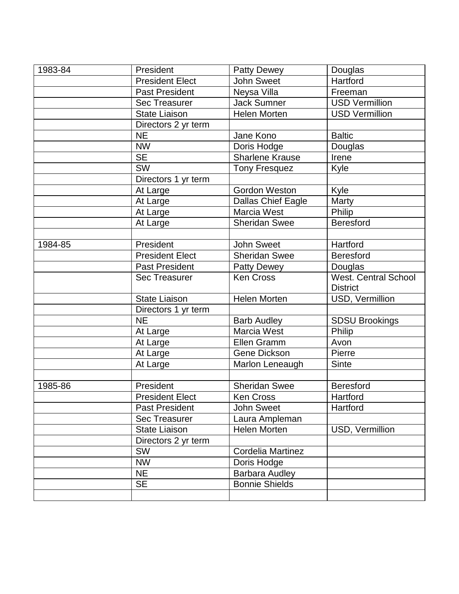| 1983-84 | President              | <b>Patty Dewey</b>        | Douglas               |
|---------|------------------------|---------------------------|-----------------------|
|         | <b>President Elect</b> | <b>John Sweet</b>         | Hartford              |
|         | <b>Past President</b>  | Neysa Villa               | Freeman               |
|         | <b>Sec Treasurer</b>   | <b>Jack Sumner</b>        | <b>USD Vermillion</b> |
|         | <b>State Liaison</b>   | <b>Helen Morten</b>       | <b>USD Vermillion</b> |
|         | Directors 2 yr term    |                           |                       |
|         | <b>NE</b>              | Jane Kono                 | <b>Baltic</b>         |
|         | <b>NW</b>              | Doris Hodge               | Douglas               |
|         | <b>SE</b>              | <b>Sharlene Krause</b>    | Irene                 |
|         | <b>SW</b>              | <b>Tony Fresquez</b>      | Kyle                  |
|         | Directors 1 yr term    |                           |                       |
|         | At Large               | Gordon Weston             | Kyle                  |
|         | At Large               | <b>Dallas Chief Eagle</b> | Marty                 |
|         | At Large               | Marcia West               | Philip                |
|         | At Large               | <b>Sheridan Swee</b>      | <b>Beresford</b>      |
|         |                        |                           |                       |
| 1984-85 | President              | <b>John Sweet</b>         | Hartford              |
|         | <b>President Elect</b> | <b>Sheridan Swee</b>      | <b>Beresford</b>      |
|         | <b>Past President</b>  | <b>Patty Dewey</b>        | Douglas               |
|         | <b>Sec Treasurer</b>   | <b>Ken Cross</b>          | West. Central School  |
|         |                        |                           | <b>District</b>       |
|         | <b>State Liaison</b>   | <b>Helen Morten</b>       | USD, Vermillion       |
|         | Directors 1 yr term    |                           |                       |
|         | <b>NE</b>              | <b>Barb Audley</b>        | <b>SDSU Brookings</b> |
|         | At Large               | Marcia West               | Philip                |
|         | At Large               | Ellen Gramm               | Avon                  |
|         | At Large               | Gene Dickson              | Pierre                |
|         | At Large               | Marlon Leneaugh           | <b>Sinte</b>          |
|         |                        |                           |                       |
| 1985-86 | President              | <b>Sheridan Swee</b>      | <b>Beresford</b>      |
|         | <b>President Elect</b> | Ken Cross                 | Hartford              |
|         | <b>Past President</b>  | John Sweet                | Hartford              |
|         | <b>Sec Treasurer</b>   | Laura Ampleman            |                       |
|         | <b>State Liaison</b>   | <b>Helen Morten</b>       | USD, Vermillion       |
|         | Directors 2 yr term    |                           |                       |
|         | <b>SW</b>              | <b>Cordelia Martinez</b>  |                       |
|         | <b>NW</b>              | Doris Hodge               |                       |
|         | <b>NE</b>              | <b>Barbara Audley</b>     |                       |
|         | <b>SE</b>              | <b>Bonnie Shields</b>     |                       |
|         |                        |                           |                       |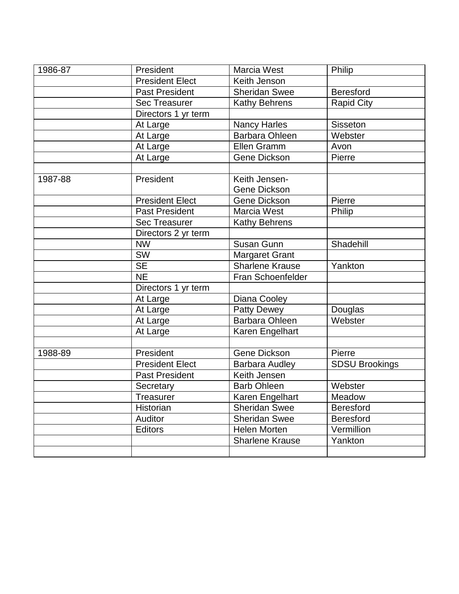| 1986-87 | President              | Marcia West            | Philip                |
|---------|------------------------|------------------------|-----------------------|
|         | <b>President Elect</b> | Keith Jenson           |                       |
|         | <b>Past President</b>  | <b>Sheridan Swee</b>   | <b>Beresford</b>      |
|         | <b>Sec Treasurer</b>   | Kathy Behrens          | <b>Rapid City</b>     |
|         | Directors 1 yr term    |                        |                       |
|         | At Large               | <b>Nancy Harles</b>    | <b>Sisseton</b>       |
|         | At Large               | <b>Barbara Ohleen</b>  | Webster               |
|         | At Large               | Ellen Gramm            | Avon                  |
|         | At Large               | Gene Dickson           | Pierre                |
|         |                        |                        |                       |
| 1987-88 | President              | Keith Jensen-          |                       |
|         |                        | Gene Dickson           |                       |
|         | <b>President Elect</b> | Gene Dickson           | Pierre                |
|         | <b>Past President</b>  | Marcia West            | Philip                |
|         | <b>Sec Treasurer</b>   | <b>Kathy Behrens</b>   |                       |
|         | Directors 2 yr term    |                        |                       |
|         | <b>NW</b>              | Susan Gunn             | Shadehill             |
|         | <b>SW</b>              | <b>Margaret Grant</b>  |                       |
|         | <b>SE</b>              | Sharlene Krause        | Yankton               |
|         | <b>NE</b>              | Fran Schoenfelder      |                       |
|         | Directors 1 yr term    |                        |                       |
|         | At Large               | Diana Cooley           |                       |
|         | At Large               | <b>Patty Dewey</b>     | Douglas               |
|         | At Large               | <b>Barbara Ohleen</b>  | Webster               |
|         | At Large               | Karen Engelhart        |                       |
|         |                        |                        |                       |
| 1988-89 | President              | <b>Gene Dickson</b>    | Pierre                |
|         | <b>President Elect</b> | <b>Barbara Audley</b>  | <b>SDSU Brookings</b> |
|         | <b>Past President</b>  | Keith Jensen           |                       |
|         | Secretary              | <b>Barb Ohleen</b>     | Webster               |
|         | <b>Treasurer</b>       | Karen Engelhart        | Meadow                |
|         | Historian              | <b>Sheridan Swee</b>   | <b>Beresford</b>      |
|         | Auditor                | <b>Sheridan Swee</b>   | <b>Beresford</b>      |
|         | <b>Editors</b>         | <b>Helen Morten</b>    | Vermillion            |
|         |                        | <b>Sharlene Krause</b> | Yankton               |
|         |                        |                        |                       |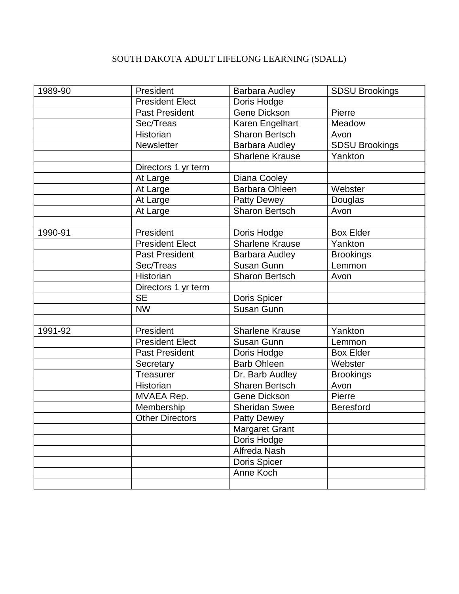## SOUTH DAKOTA ADULT LIFELONG LEARNING (SDALL)

| 1989-90 | President              | <b>Barbara Audley</b>  | <b>SDSU Brookings</b> |
|---------|------------------------|------------------------|-----------------------|
|         | <b>President Elect</b> | Doris Hodge            |                       |
|         | <b>Past President</b>  | Gene Dickson           | Pierre                |
|         | Sec/Treas              | Karen Engelhart        | Meadow                |
|         | Historian              | <b>Sharon Bertsch</b>  | Avon                  |
|         | Newsletter             | Barbara Audley         | <b>SDSU Brookings</b> |
|         |                        | <b>Sharlene Krause</b> | Yankton               |
|         | Directors 1 yr term    |                        |                       |
|         | At Large               | Diana Cooley           |                       |
|         | At Large               | Barbara Ohleen         | Webster               |
|         | At Large               | <b>Patty Dewey</b>     | Douglas               |
|         | At Large               | <b>Sharon Bertsch</b>  | Avon                  |
|         |                        |                        |                       |
| 1990-91 | President              | Doris Hodge            | <b>Box Elder</b>      |
|         | <b>President Elect</b> | <b>Sharlene Krause</b> | Yankton               |
|         | <b>Past President</b>  | Barbara Audley         | <b>Brookings</b>      |
|         | Sec/Treas              | Susan Gunn             | Lemmon                |
|         | <b>Historian</b>       | <b>Sharon Bertsch</b>  | Avon                  |
|         | Directors 1 yr term    |                        |                       |
|         | <b>SE</b>              | Doris Spicer           |                       |
|         | <b>NW</b>              | Susan Gunn             |                       |
|         |                        |                        |                       |
| 1991-92 | President              | <b>Sharlene Krause</b> | Yankton               |
|         | <b>President Elect</b> | Susan Gunn             | Lemmon                |
|         | <b>Past President</b>  | Doris Hodge            | <b>Box Elder</b>      |
|         | Secretary              | <b>Barb Ohleen</b>     | Webster               |
|         | Treasurer              | Dr. Barb Audley        | <b>Brookings</b>      |
|         | Historian              | <b>Sharen Bertsch</b>  | Avon                  |
|         | MVAEA Rep.             | Gene Dickson           | Pierre                |
|         | Membership             | <b>Sheridan Swee</b>   | <b>Beresford</b>      |
|         | <b>Other Directors</b> | <b>Patty Dewey</b>     |                       |
|         |                        | <b>Margaret Grant</b>  |                       |
|         |                        | Doris Hodge            |                       |
|         |                        | Alfreda Nash           |                       |
|         |                        | Doris Spicer           |                       |
|         |                        | Anne Koch              |                       |
|         |                        |                        |                       |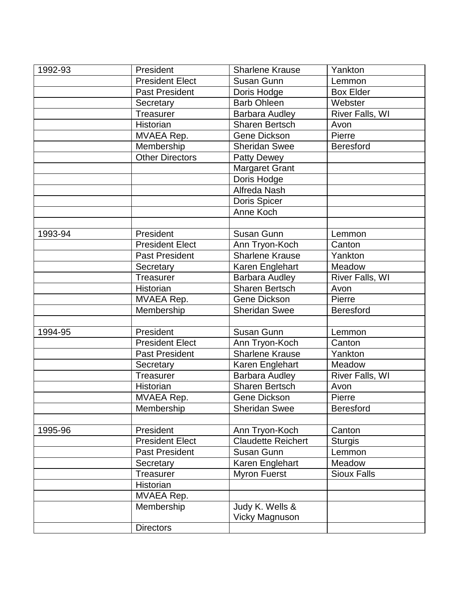| 1992-93 | President              | <b>Sharlene Krause</b> | Yankton            |
|---------|------------------------|------------------------|--------------------|
|         | <b>President Elect</b> | Susan Gunn             | Lemmon             |
|         | <b>Past President</b>  | Doris Hodge            | <b>Box Elder</b>   |
|         | Secretary              | <b>Barb Ohleen</b>     | Webster            |
|         | Treasurer              | <b>Barbara Audley</b>  | River Falls, WI    |
|         | Historian              | Sharen Bertsch         | Avon               |
|         | MVAEA Rep.             | Gene Dickson           | Pierre             |
|         | Membership             | <b>Sheridan Swee</b>   | <b>Beresford</b>   |
|         | <b>Other Directors</b> | <b>Patty Dewey</b>     |                    |
|         |                        | <b>Margaret Grant</b>  |                    |
|         |                        | Doris Hodge            |                    |
|         |                        | Alfreda Nash           |                    |
|         |                        | Doris Spicer           |                    |
|         |                        | Anne Koch              |                    |
|         |                        |                        |                    |
| 1993-94 | President              | Susan Gunn             | Lemmon             |
|         | <b>President Elect</b> | Ann Tryon-Koch         | Canton             |
|         | <b>Past President</b>  | <b>Sharlene Krause</b> | Yankton            |
|         | Secretary              | Karen Englehart        | Meadow             |
|         | Treasurer              | Barbara Audley         | River Falls, WI    |
|         | Historian              | Sharen Bertsch         | Avon               |
|         | MVAEA Rep.             | Gene Dickson           | Pierre             |
|         | Membership             | <b>Sheridan Swee</b>   | <b>Beresford</b>   |
|         |                        |                        |                    |
| 1994-95 | President              | Susan Gunn             | Lemmon             |
|         | <b>President Elect</b> | Ann Tryon-Koch         | Canton             |
|         | <b>Past President</b>  | <b>Sharlene Krause</b> | Yankton            |
|         | Secretary              | Karen Englehart        | Meadow             |
|         | Treasurer              | Barbara Audley         | River Falls, WI    |
|         | Historian              | Sharen Bertsch         | Avon               |
|         | <b>MVAEA Rep.</b>      | Gene Dickson           | Pierre             |
|         | Membership             | <b>Sheridan Swee</b>   | <b>Beresford</b>   |
|         |                        |                        |                    |
| 1995-96 | President              | Ann Tryon-Koch         | Canton             |
|         | <b>President Elect</b> | Claudette Reichert     | <b>Sturgis</b>     |
|         | <b>Past President</b>  | Susan Gunn             | Lemmon             |
|         | Secretary              | Karen Englehart        | Meadow             |
|         | <b>Treasurer</b>       | <b>Myron Fuerst</b>    | <b>Sioux Falls</b> |
|         | Historian              |                        |                    |
|         | MVAEA Rep.             |                        |                    |
|         | Membership             | Judy K. Wells &        |                    |
|         |                        | <b>Vicky Magnuson</b>  |                    |
|         | <b>Directors</b>       |                        |                    |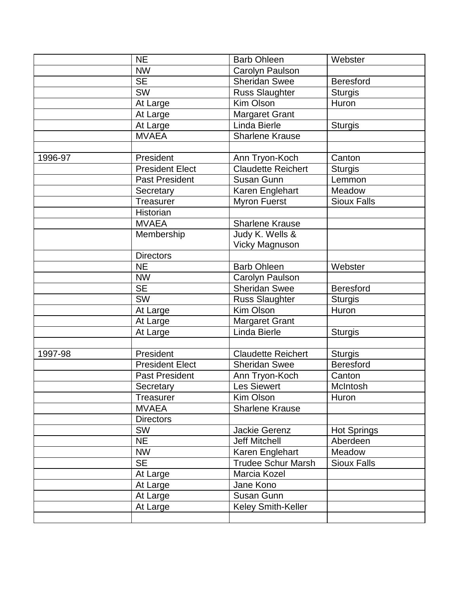|         | <b>NE</b>              | <b>Barb Ohleen</b>        | Webster            |
|---------|------------------------|---------------------------|--------------------|
|         | <b>NW</b>              | Carolyn Paulson           |                    |
|         | <b>SE</b>              | <b>Sheridan Swee</b>      | <b>Beresford</b>   |
|         | <b>SW</b>              | <b>Russ Slaughter</b>     | <b>Sturgis</b>     |
|         | At Large               | Kim Olson                 | Huron              |
|         | At Large               | Margaret Grant            |                    |
|         | At Large               | Linda Bierle              | <b>Sturgis</b>     |
|         | <b>MVAEA</b>           | <b>Sharlene Krause</b>    |                    |
|         |                        |                           |                    |
| 1996-97 | President              | Ann Tryon-Koch            | Canton             |
|         | <b>President Elect</b> | <b>Claudette Reichert</b> | <b>Sturgis</b>     |
|         | <b>Past President</b>  | Susan Gunn                | Lemmon             |
|         | Secretary              | Karen Englehart           | Meadow             |
|         | Treasurer              | <b>Myron Fuerst</b>       | <b>Sioux Falls</b> |
|         | Historian              |                           |                    |
|         | <b>MVAEA</b>           | <b>Sharlene Krause</b>    |                    |
|         | Membership             | Judy K. Wells &           |                    |
|         |                        | <b>Vicky Magnuson</b>     |                    |
|         | <b>Directors</b>       |                           |                    |
|         | <b>NE</b>              | <b>Barb Ohleen</b>        | Webster            |
|         | <b>NW</b>              | Carolyn Paulson           |                    |
|         | <b>SE</b>              | <b>Sheridan Swee</b>      | <b>Beresford</b>   |
|         | <b>SW</b>              | Russ Slaughter            | <b>Sturgis</b>     |
|         | At Large               | Kim Olson                 | Huron              |
|         | At Large               | <b>Margaret Grant</b>     |                    |
|         | At Large               | Linda Bierle              | <b>Sturgis</b>     |
|         |                        |                           |                    |
| 1997-98 | President              | <b>Claudette Reichert</b> | <b>Sturgis</b>     |
|         | <b>President Elect</b> | <b>Sheridan Swee</b>      | <b>Beresford</b>   |
|         | <b>Past President</b>  | Ann Tryon-Koch            | Canton             |
|         | Secretary              | <b>Les Siewert</b>        | McIntosh           |
|         | Treasurer              | Kim Olson                 | Huron              |
|         | <b>MVAEA</b>           | <b>Sharlene Krause</b>    |                    |
|         | <b>Directors</b>       |                           |                    |
|         | <b>SW</b>              | <b>Jackie Gerenz</b>      | <b>Hot Springs</b> |
|         | <b>NE</b>              | <b>Jeff Mitchell</b>      | Aberdeen           |
|         | <b>NW</b>              | Karen Englehart           | Meadow             |
|         | <b>SE</b>              | <b>Trudee Schur Marsh</b> | <b>Sioux Falls</b> |
|         | At Large               | Marcia Kozel              |                    |
|         | At Large               | Jane Kono                 |                    |
|         | At Large               | Susan Gunn                |                    |
|         | At Large               | Keley Smith-Keller        |                    |
|         |                        |                           |                    |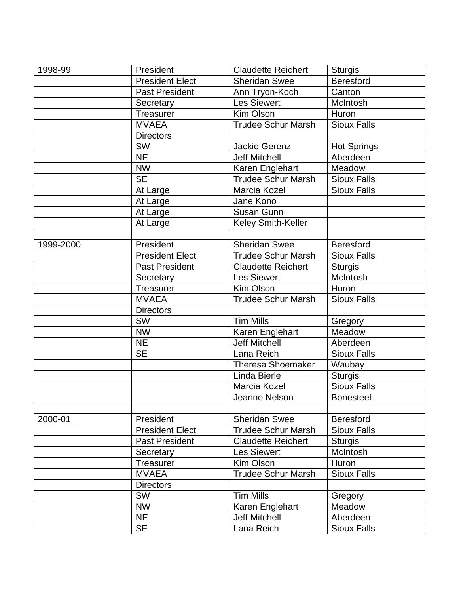| 1998-99   | President              | <b>Claudette Reichert</b> | <b>Sturgis</b>     |
|-----------|------------------------|---------------------------|--------------------|
|           | <b>President Elect</b> | Sheridan Swee             | <b>Beresford</b>   |
|           | <b>Past President</b>  | Ann Tryon-Koch            | Canton             |
|           | Secretary              | <b>Les Siewert</b>        | McIntosh           |
|           | <b>Treasurer</b>       | Kim Olson                 | Huron              |
|           | <b>MVAEA</b>           | <b>Trudee Schur Marsh</b> | <b>Sioux Falls</b> |
|           | <b>Directors</b>       |                           |                    |
|           | SW                     | Jackie Gerenz             | <b>Hot Springs</b> |
|           | <b>NE</b>              | <b>Jeff Mitchell</b>      | Aberdeen           |
|           | <b>NW</b>              | Karen Englehart           | Meadow             |
|           | <b>SE</b>              | <b>Trudee Schur Marsh</b> | <b>Sioux Falls</b> |
|           | At Large               | Marcia Kozel              | <b>Sioux Falls</b> |
|           | At Large               | Jane Kono                 |                    |
|           | At Large               | Susan Gunn                |                    |
|           | At Large               | Keley Smith-Keller        |                    |
|           |                        |                           |                    |
| 1999-2000 | President              | Sheridan Swee             | <b>Beresford</b>   |
|           | <b>President Elect</b> | <b>Trudee Schur Marsh</b> | <b>Sioux Falls</b> |
|           | <b>Past President</b>  | <b>Claudette Reichert</b> | <b>Sturgis</b>     |
|           | Secretary              | <b>Les Siewert</b>        | McIntosh           |
|           | Treasurer              | Kim Olson                 | Huron              |
|           | <b>MVAEA</b>           | <b>Trudee Schur Marsh</b> | <b>Sioux Falls</b> |
|           | <b>Directors</b>       |                           |                    |
|           | <b>SW</b>              | <b>Tim Mills</b>          | Gregory            |
|           | <b>NW</b>              | Karen Englehart           | Meadow             |
|           | <b>NE</b>              | <b>Jeff Mitchell</b>      | Aberdeen           |
|           | <b>SE</b>              | Lana Reich                | <b>Sioux Falls</b> |
|           |                        | <b>Theresa Shoemaker</b>  | Waubay             |
|           |                        | Linda Bierle              | <b>Sturgis</b>     |
|           |                        | Marcia Kozel              | <b>Sioux Falls</b> |
|           |                        | Jeanne Nelson             | <b>Bonesteel</b>   |
|           |                        |                           |                    |
| 2000-01   | President              | Sheridan Swee             | <b>Beresford</b>   |
|           | <b>President Elect</b> | <b>Trudee Schur Marsh</b> | <b>Sioux Falls</b> |
|           | <b>Past President</b>  | <b>Claudette Reichert</b> | <b>Sturgis</b>     |
|           | Secretary              | <b>Les Siewert</b>        | McIntosh           |
|           | Treasurer              | Kim Olson                 | Huron              |
|           | <b>MVAEA</b>           | <b>Trudee Schur Marsh</b> | Sioux Falls        |
|           | <b>Directors</b>       |                           |                    |
|           | <b>SW</b>              | <b>Tim Mills</b>          | Gregory            |
|           | <b>NW</b>              | Karen Englehart           | Meadow             |
|           | <b>NE</b>              | <b>Jeff Mitchell</b>      | Aberdeen           |
|           | <b>SE</b>              | Lana Reich                | <b>Sioux Falls</b> |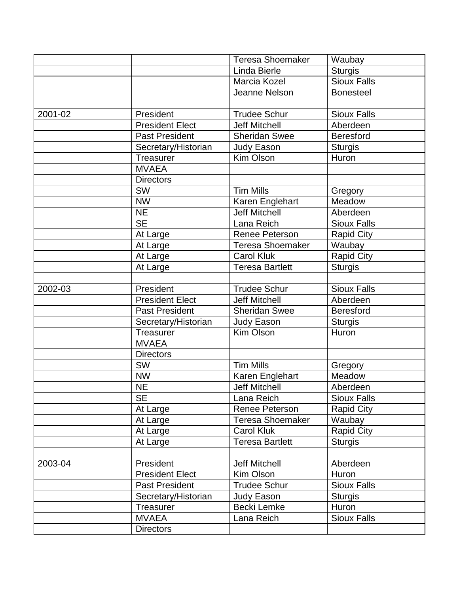|         |                        | <b>Teresa Shoemaker</b> | Waubay             |
|---------|------------------------|-------------------------|--------------------|
|         |                        | Linda Bierle            | <b>Sturgis</b>     |
|         |                        | Marcia Kozel            | <b>Sioux Falls</b> |
|         |                        | Jeanne Nelson           | <b>Bonesteel</b>   |
|         |                        |                         |                    |
| 2001-02 | President              | <b>Trudee Schur</b>     | <b>Sioux Falls</b> |
|         | <b>President Elect</b> | <b>Jeff Mitchell</b>    | Aberdeen           |
|         | <b>Past President</b>  | <b>Sheridan Swee</b>    | <b>Beresford</b>   |
|         | Secretary/Historian    | <b>Judy Eason</b>       | <b>Sturgis</b>     |
|         | Treasurer              | Kim Olson               | Huron              |
|         | <b>MVAEA</b>           |                         |                    |
|         | <b>Directors</b>       |                         |                    |
|         | <b>SW</b>              | <b>Tim Mills</b>        | Gregory            |
|         | <b>NW</b>              | Karen Englehart         | Meadow             |
|         | <b>NE</b>              | <b>Jeff Mitchell</b>    | Aberdeen           |
|         | <b>SE</b>              | Lana Reich              | <b>Sioux Falls</b> |
|         | At Large               | Renee Peterson          | <b>Rapid City</b>  |
|         | At Large               | <b>Teresa Shoemaker</b> | Waubay             |
|         | At Large               | <b>Carol Kluk</b>       | <b>Rapid City</b>  |
|         | At Large               | <b>Teresa Bartlett</b>  | <b>Sturgis</b>     |
|         |                        |                         |                    |
| 2002-03 | President              | <b>Trudee Schur</b>     | <b>Sioux Falls</b> |
|         | <b>President Elect</b> | <b>Jeff Mitchell</b>    | Aberdeen           |
|         | <b>Past President</b>  | <b>Sheridan Swee</b>    | <b>Beresford</b>   |
|         | Secretary/Historian    | <b>Judy Eason</b>       | <b>Sturgis</b>     |
|         | <b>Treasurer</b>       | Kim Olson               | Huron              |
|         | <b>MVAEA</b>           |                         |                    |
|         | <b>Directors</b>       |                         |                    |
|         | <b>SW</b>              | <b>Tim Mills</b>        | Gregory            |
|         | <b>NW</b>              | Karen Englehart         | Meadow             |
|         | <b>NE</b>              | <b>Jeff Mitchell</b>    | Aberdeen           |
|         | <b>SE</b>              | Lana Reich              | <b>Sioux Falls</b> |
|         | At Large               | Renee Peterson          | <b>Rapid City</b>  |
|         | At Large               | Teresa Shoemaker        | Waubay             |
|         | At Large               | <b>Carol Kluk</b>       | <b>Rapid City</b>  |
|         | At Large               | <b>Teresa Bartlett</b>  | <b>Sturgis</b>     |
|         |                        |                         |                    |
| 2003-04 | President              | Jeff Mitchell           | Aberdeen           |
|         | <b>President Elect</b> | Kim Olson               | Huron              |
|         | <b>Past President</b>  | <b>Trudee Schur</b>     | <b>Sioux Falls</b> |
|         | Secretary/Historian    | Judy Eason              | <b>Sturgis</b>     |
|         | <b>Treasurer</b>       | Becki Lemke             | Huron              |
|         | <b>MVAEA</b>           | Lana Reich              | <b>Sioux Falls</b> |
|         | <b>Directors</b>       |                         |                    |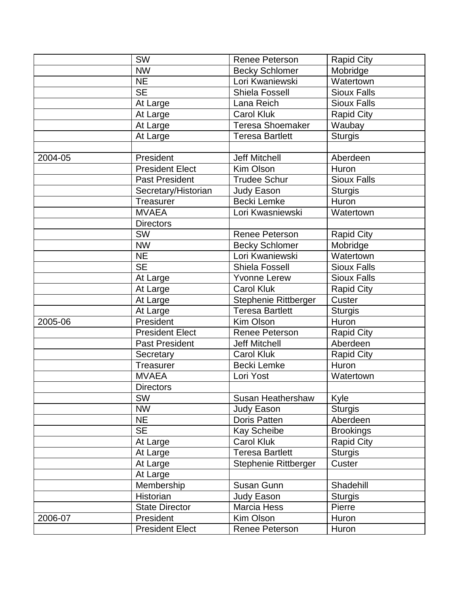|         | <b>SW</b>              | <b>Renee Peterson</b>  | <b>Rapid City</b>  |
|---------|------------------------|------------------------|--------------------|
|         | <b>NW</b>              | <b>Becky Schlomer</b>  | Mobridge           |
|         | <b>NE</b>              | Lori Kwaniewski        | Watertown          |
|         | <b>SE</b>              | <b>Shiela Fossell</b>  | <b>Sioux Falls</b> |
|         | At Large               | Lana Reich             | <b>Sioux Falls</b> |
|         | At Large               | <b>Carol Kluk</b>      | <b>Rapid City</b>  |
|         | At Large               | Teresa Shoemaker       | Waubay             |
|         | At Large               | <b>Teresa Bartlett</b> | <b>Sturgis</b>     |
|         |                        |                        |                    |
| 2004-05 | President              | <b>Jeff Mitchell</b>   | Aberdeen           |
|         | <b>President Elect</b> | Kim Olson              | Huron              |
|         | <b>Past President</b>  | <b>Trudee Schur</b>    | <b>Sioux Falls</b> |
|         | Secretary/Historian    | <b>Judy Eason</b>      | <b>Sturgis</b>     |
|         | Treasurer              | Becki Lemke            | Huron              |
|         | <b>MVAEA</b>           | Lori Kwasniewski       | Watertown          |
|         | <b>Directors</b>       |                        |                    |
|         | <b>SW</b>              | <b>Renee Peterson</b>  | <b>Rapid City</b>  |
|         | <b>NW</b>              | <b>Becky Schlomer</b>  | Mobridge           |
|         | <b>NE</b>              | Lori Kwaniewski        | Watertown          |
|         | <b>SE</b>              | <b>Shiela Fossell</b>  | <b>Sioux Falls</b> |
|         | At Large               | <b>Yvonne Lerew</b>    | <b>Sioux Falls</b> |
|         | At Large               | <b>Carol Kluk</b>      | <b>Rapid City</b>  |
|         | At Large               | Stephenie Rittberger   | Custer             |
|         | At Large               | <b>Teresa Bartlett</b> | <b>Sturgis</b>     |
| 2005-06 | President              | Kim Olson              | Huron              |
|         | <b>President Elect</b> | Renee Peterson         | <b>Rapid City</b>  |
|         | <b>Past President</b>  | <b>Jeff Mitchell</b>   | Aberdeen           |
|         | Secretary              | <b>Carol Kluk</b>      | <b>Rapid City</b>  |
|         | Treasurer              | Becki Lemke            | Huron              |
|         | <b>MVAEA</b>           | Lori Yost              | Watertown          |
|         | <b>Directors</b>       |                        |                    |
|         | <b>SW</b>              | Susan Heathershaw      | Kyle               |
|         | <b>NW</b>              | Judy Eason             | <b>Sturgis</b>     |
|         | <b>NE</b>              | <b>Doris Patten</b>    | Aberdeen           |
|         | <b>SE</b>              | Kay Scheibe            | <b>Brookings</b>   |
|         | At Large               | <b>Carol Kluk</b>      | <b>Rapid City</b>  |
|         | At Large               | <b>Teresa Bartlett</b> | <b>Sturgis</b>     |
|         | At Large               | Stephenie Rittberger   | Custer             |
|         | At Large               |                        |                    |
|         | Membership             | Susan Gunn             | Shadehill          |
|         | Historian              | Judy Eason             | <b>Sturgis</b>     |
|         | <b>State Director</b>  | Marcia Hess            | Pierre             |
| 2006-07 | President              | Kim Olson              | Huron              |
|         | <b>President Elect</b> | Renee Peterson         | Huron              |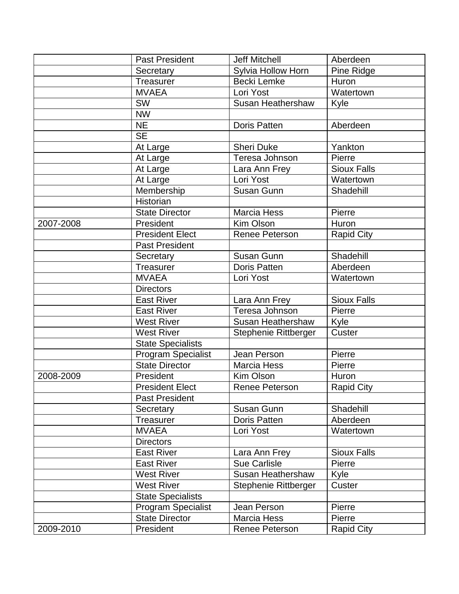|           | <b>Past President</b>     | <b>Jeff Mitchell</b> | Aberdeen           |
|-----------|---------------------------|----------------------|--------------------|
|           | Secretary                 | Sylvia Hollow Horn   | Pine Ridge         |
|           | Treasurer                 | <b>Becki Lemke</b>   | Huron              |
|           | <b>MVAEA</b>              | Lori Yost            | Watertown          |
|           | <b>SW</b>                 | Susan Heathershaw    | Kyle               |
|           | <b>NW</b>                 |                      |                    |
|           | <b>NE</b>                 | <b>Doris Patten</b>  | Aberdeen           |
|           | <b>SE</b>                 |                      |                    |
|           | At Large                  | <b>Sheri Duke</b>    | Yankton            |
|           | At Large                  | Teresa Johnson       | Pierre             |
|           | At Large                  | Lara Ann Frey        | <b>Sioux Falls</b> |
|           | At Large                  | Lori Yost            | Watertown          |
|           | Membership                | Susan Gunn           | Shadehill          |
|           | Historian                 |                      |                    |
|           | <b>State Director</b>     | <b>Marcia Hess</b>   | Pierre             |
| 2007-2008 | President                 | Kim Olson            | Huron              |
|           | <b>President Elect</b>    | Renee Peterson       | <b>Rapid City</b>  |
|           | <b>Past President</b>     |                      |                    |
|           | Secretary                 | Susan Gunn           | Shadehill          |
|           | Treasurer                 | <b>Doris Patten</b>  | Aberdeen           |
|           | <b>MVAEA</b>              | Lori Yost            | Watertown          |
|           | <b>Directors</b>          |                      |                    |
|           | <b>East River</b>         | Lara Ann Frey        | <b>Sioux Falls</b> |
|           | <b>East River</b>         | Teresa Johnson       | Pierre             |
|           | <b>West River</b>         | Susan Heathershaw    | Kyle               |
|           | <b>West River</b>         | Stephenie Rittberger | Custer             |
|           | State Specialists         |                      |                    |
|           | <b>Program Specialist</b> | Jean Person          | Pierre             |
|           | <b>State Director</b>     | <b>Marcia Hess</b>   | Pierre             |
| 2008-2009 | President                 | Kim Olson            | Huron              |
|           | <b>President Elect</b>    | Renee Peterson       | <b>Rapid City</b>  |
|           | <b>Past President</b>     |                      |                    |
|           | Secretary                 | Susan Gunn           | Shadehill          |
|           | <b>Treasurer</b>          | <b>Doris Patten</b>  | Aberdeen           |
|           | <b>MVAEA</b>              | Lori Yost            | Watertown          |
|           | <b>Directors</b>          |                      |                    |
|           | <b>East River</b>         | Lara Ann Frey        | <b>Sioux Falls</b> |
|           | <b>East River</b>         | <b>Sue Carlisle</b>  | Pierre             |
|           | <b>West River</b>         | Susan Heathershaw    | Kyle               |
|           | <b>West River</b>         | Stephenie Rittberger | Custer             |
|           | <b>State Specialists</b>  |                      |                    |
|           | <b>Program Specialist</b> | Jean Person          | Pierre             |
|           | <b>State Director</b>     | <b>Marcia Hess</b>   | Pierre             |
| 2009-2010 | President                 | Renee Peterson       | <b>Rapid City</b>  |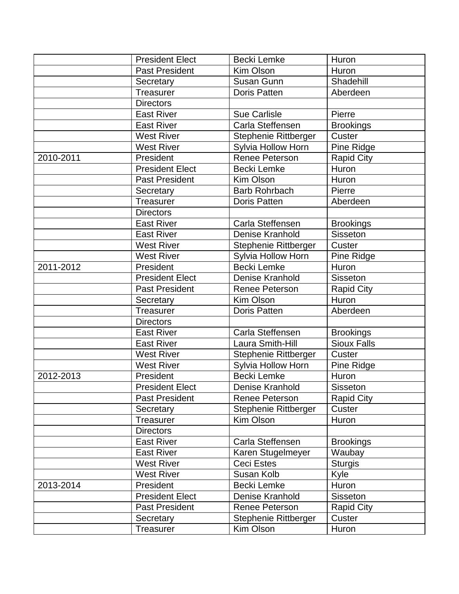|           | <b>President Elect</b> | Becki Lemke           | Huron              |
|-----------|------------------------|-----------------------|--------------------|
|           | <b>Past President</b>  | Kim Olson             | Huron              |
|           | Secretary              | Susan Gunn            | Shadehill          |
|           | Treasurer              | <b>Doris Patten</b>   | Aberdeen           |
|           | <b>Directors</b>       |                       |                    |
|           | <b>East River</b>      | <b>Sue Carlisle</b>   | Pierre             |
|           | <b>East River</b>      | Carla Steffensen      | <b>Brookings</b>   |
|           | <b>West River</b>      | Stephenie Rittberger  | Custer             |
|           | <b>West River</b>      | Sylvia Hollow Horn    | Pine Ridge         |
| 2010-2011 | President              | Renee Peterson        | <b>Rapid City</b>  |
|           | <b>President Elect</b> | Becki Lemke           | Huron              |
|           | <b>Past President</b>  | Kim Olson             | <b>Huron</b>       |
|           | Secretary              | <b>Barb Rohrbach</b>  | Pierre             |
|           | Treasurer              | <b>Doris Patten</b>   | Aberdeen           |
|           | <b>Directors</b>       |                       |                    |
|           | <b>East River</b>      | Carla Steffensen      | <b>Brookings</b>   |
|           | <b>East River</b>      | Denise Kranhold       | <b>Sisseton</b>    |
|           | <b>West River</b>      | Stephenie Rittberger  | Custer             |
|           | <b>West River</b>      | Sylvia Hollow Horn    | Pine Ridge         |
| 2011-2012 | President              | <b>Becki Lemke</b>    | Huron              |
|           | <b>President Elect</b> | Denise Kranhold       | Sisseton           |
|           | <b>Past President</b>  | <b>Renee Peterson</b> | <b>Rapid City</b>  |
|           | Secretary              | Kim Olson             | Huron              |
|           | <b>Treasurer</b>       | <b>Doris Patten</b>   | Aberdeen           |
|           | <b>Directors</b>       |                       |                    |
|           | <b>East River</b>      | Carla Steffensen      | <b>Brookings</b>   |
|           | <b>East River</b>      | Laura Smith-Hill      | <b>Sioux Falls</b> |
|           | <b>West River</b>      | Stephenie Rittberger  | Custer             |
|           | <b>West River</b>      | Sylvia Hollow Horn    | Pine Ridge         |
| 2012-2013 | President              | <b>Becki Lemke</b>    | Huron              |
|           | <b>President Elect</b> | Denise Kranhold       | Sisseton           |
|           | <b>Past President</b>  | <b>Renee Peterson</b> | <b>Rapid City</b>  |
|           | Secretary              | Stephenie Rittberger  | Custer             |
|           | <b>Treasurer</b>       | Kim Olson             | Huron              |
|           | <b>Directors</b>       |                       |                    |
|           | <b>East River</b>      | Carla Steffensen      | <b>Brookings</b>   |
|           | <b>East River</b>      | Karen Stugelmeyer     | Waubay             |
|           | <b>West River</b>      | Ceci Estes            | <b>Sturgis</b>     |
|           | <b>West River</b>      | Susan Kolb            | Kyle               |
| 2013-2014 | President              | Becki Lemke           | Huron              |
|           | <b>President Elect</b> | Denise Kranhold       | <b>Sisseton</b>    |
|           | <b>Past President</b>  | <b>Renee Peterson</b> | <b>Rapid City</b>  |
|           | Secretary              | Stephenie Rittberger  | Custer             |
|           | <b>Treasurer</b>       | Kim Olson             | Huron              |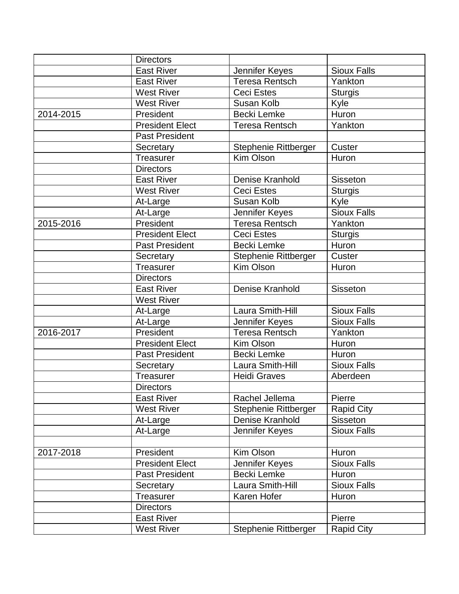|           | <b>Directors</b>       |                             |                    |
|-----------|------------------------|-----------------------------|--------------------|
|           | <b>East River</b>      | Jennifer Keyes              | <b>Sioux Falls</b> |
|           | <b>East River</b>      | <b>Teresa Rentsch</b>       | Yankton            |
|           | <b>West River</b>      | <b>Ceci Estes</b>           | <b>Sturgis</b>     |
|           | <b>West River</b>      | Susan Kolb                  | Kyle               |
| 2014-2015 | President              | Becki Lemke                 | Huron              |
|           | <b>President Elect</b> | <b>Teresa Rentsch</b>       | Yankton            |
|           | <b>Past President</b>  |                             |                    |
|           | Secretary              | Stephenie Rittberger        | Custer             |
|           | Treasurer              | Kim Olson                   | Huron              |
|           | <b>Directors</b>       |                             |                    |
|           | <b>East River</b>      | Denise Kranhold             | <b>Sisseton</b>    |
|           | <b>West River</b>      | <b>Ceci Estes</b>           | <b>Sturgis</b>     |
|           | At-Large               | Susan Kolb                  | Kyle               |
|           | At-Large               | Jennifer Keyes              | <b>Sioux Falls</b> |
| 2015-2016 | President              | Teresa Rentsch              | Yankton            |
|           | <b>President Elect</b> | Ceci Estes                  | <b>Sturgis</b>     |
|           | <b>Past President</b>  | Becki Lemke                 | Huron              |
|           | Secretary              | <b>Stephenie Rittberger</b> | Custer             |
|           | Treasurer              | Kim Olson                   | Huron              |
|           | <b>Directors</b>       |                             |                    |
|           | <b>East River</b>      | Denise Kranhold             | <b>Sisseton</b>    |
|           | <b>West River</b>      |                             |                    |
|           | At-Large               | Laura Smith-Hill            | <b>Sioux Falls</b> |
|           | At-Large               | Jennifer Keyes              | <b>Sioux Falls</b> |
| 2016-2017 | President              | <b>Teresa Rentsch</b>       | Yankton            |
|           | <b>President Elect</b> | Kim Olson                   | Huron              |
|           | <b>Past President</b>  | Becki Lemke                 | Huron              |
|           | Secretary              | Laura Smith-Hill            | <b>Sioux Falls</b> |
|           | Treasurer              | <b>Heidi Graves</b>         | Aberdeen           |
|           | <b>Directors</b>       |                             |                    |
|           | <b>East River</b>      | Rachel Jellema              | Pierre             |
|           | <b>West River</b>      | Stephenie Rittberger        | <b>Rapid City</b>  |
|           | At-Large               | Denise Kranhold             | <b>Sisseton</b>    |
|           | At-Large               | Jennifer Keyes              | <b>Sioux Falls</b> |
|           |                        |                             |                    |
| 2017-2018 | President              | Kim Olson                   | Huron              |
|           | <b>President Elect</b> | Jennifer Keyes              | <b>Sioux Falls</b> |
|           | Past President         | Becki Lemke                 | Huron              |
|           | Secretary              | Laura Smith-Hill            | <b>Sioux Falls</b> |
|           | Treasurer              | Karen Hofer                 | Huron              |
|           | <b>Directors</b>       |                             |                    |
|           | <b>East River</b>      |                             | Pierre             |
|           | <b>West River</b>      | Stephenie Rittberger        | <b>Rapid City</b>  |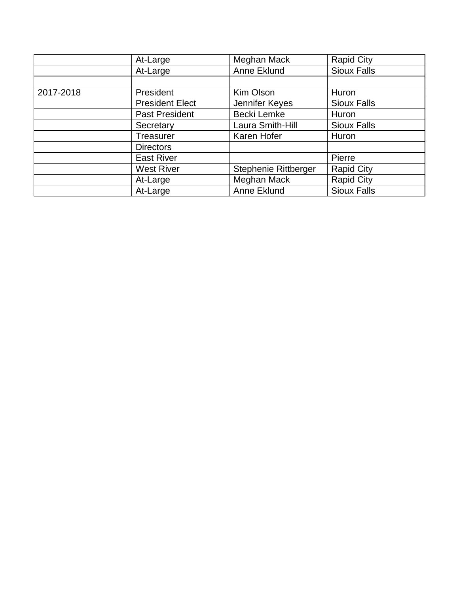|           | At-Large               | Meghan Mack          | <b>Rapid City</b>  |
|-----------|------------------------|----------------------|--------------------|
|           | At-Large               | Anne Eklund          | <b>Sioux Falls</b> |
|           |                        |                      |                    |
| 2017-2018 | President              | Kim Olson            | Huron              |
|           | <b>President Elect</b> | Jennifer Keyes       | <b>Sioux Falls</b> |
|           | Past President         | Becki Lemke          | Huron              |
|           | Secretary              | Laura Smith-Hill     | <b>Sioux Falls</b> |
|           | <b>Treasurer</b>       | Karen Hofer          | Huron              |
|           | <b>Directors</b>       |                      |                    |
|           | <b>East River</b>      |                      | Pierre             |
|           | <b>West River</b>      | Stephenie Rittberger | <b>Rapid City</b>  |
|           | At-Large               | Meghan Mack          | <b>Rapid City</b>  |
|           | At-Large               | Anne Eklund          | <b>Sioux Falls</b> |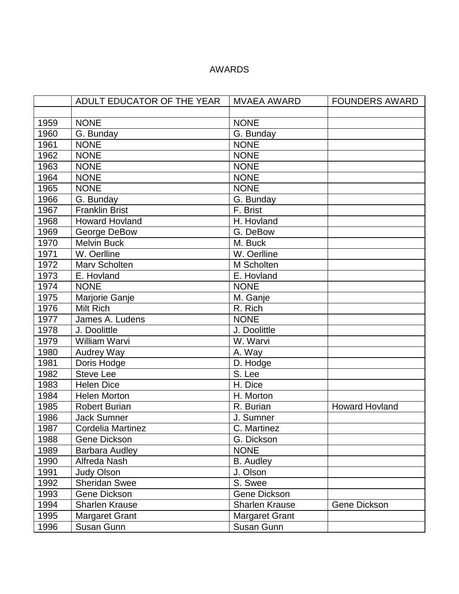### AWARDS

|      | ADULT EDUCATOR OF THE YEAR | <b>MVAEA AWARD</b>    | <b>FOUNDERS AWARD</b> |
|------|----------------------------|-----------------------|-----------------------|
|      |                            |                       |                       |
| 1959 | <b>NONE</b>                | <b>NONE</b>           |                       |
| 1960 | G. Bunday                  | G. Bunday             |                       |
| 1961 | <b>NONE</b>                | <b>NONE</b>           |                       |
| 1962 | <b>NONE</b>                | <b>NONE</b>           |                       |
| 1963 | <b>NONE</b>                | <b>NONE</b>           |                       |
| 1964 | <b>NONE</b>                | <b>NONE</b>           |                       |
| 1965 | <b>NONE</b>                | <b>NONE</b>           |                       |
| 1966 | G. Bunday                  | G. Bunday             |                       |
| 1967 | <b>Franklin Brist</b>      | F. Brist              |                       |
| 1968 | <b>Howard Hovland</b>      | H. Hovland            |                       |
| 1969 | George DeBow               | G. DeBow              |                       |
| 1970 | <b>Melvin Buck</b>         | M. Buck               |                       |
| 1971 | W. Oerlline                | W. Oerlline           |                       |
| 1972 | Marv Scholten              | M Scholten            |                       |
| 1973 | E. Hovland                 | E. Hovland            |                       |
| 1974 | <b>NONE</b>                | <b>NONE</b>           |                       |
| 1975 | Marjorie Ganje             | M. Ganje              |                       |
| 1976 | Milt Rich                  | R. Rich               |                       |
| 1977 | James A. Ludens            | <b>NONE</b>           |                       |
| 1978 | J. Doolittle               | J. Doolittle          |                       |
| 1979 | <b>William Warvi</b>       | W. Warvi              |                       |
| 1980 | Audrey Way                 | A. Way                |                       |
| 1981 | Doris Hodge                | D. Hodge              |                       |
| 1982 | <b>Steve Lee</b>           | S. Lee                |                       |
| 1983 | Helen Dice                 | H. Dice               |                       |
| 1984 | <b>Helen Morton</b>        | H. Morton             |                       |
| 1985 | <b>Robert Burian</b>       | R. Burian             | <b>Howard Hovland</b> |
| 1986 | <b>Jack Sumner</b>         | J. Sumner             |                       |
| 1987 | Cordelia Martinez          | C. Martinez           |                       |
| 1988 | Gene Dickson               | G. Dickson            |                       |
| 1989 | <b>Barbara Audley</b>      | <b>NONE</b>           |                       |
| 1990 | Alfreda Nash               | <b>B.</b> Audley      |                       |
| 1991 | <b>Judy Olson</b>          | J. Olson              |                       |
| 1992 | <b>Sheridan Swee</b>       | S. Swee               |                       |
| 1993 | Gene Dickson               | <b>Gene Dickson</b>   |                       |
| 1994 | <b>Sharlen Krause</b>      | Sharlen Krause        | Gene Dickson          |
| 1995 | <b>Margaret Grant</b>      | <b>Margaret Grant</b> |                       |
| 1996 | Susan Gunn                 | Susan Gunn            |                       |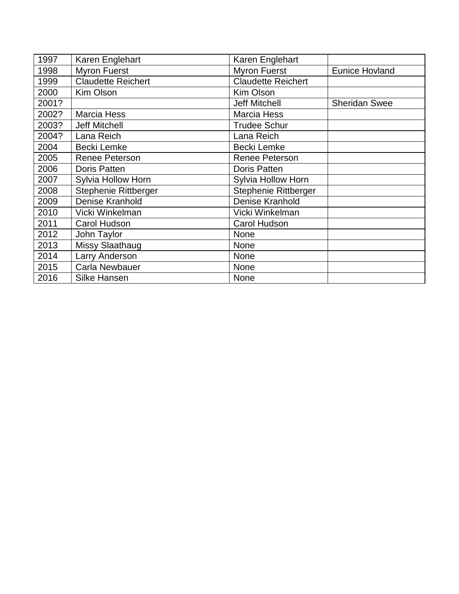| 1997  | Karen Englehart           | Karen Englehart           |                       |
|-------|---------------------------|---------------------------|-----------------------|
| 1998  | <b>Myron Fuerst</b>       | <b>Myron Fuerst</b>       | <b>Eunice Hovland</b> |
| 1999  | <b>Claudette Reichert</b> | <b>Claudette Reichert</b> |                       |
| 2000  | <b>Kim Olson</b>          | Kim Olson                 |                       |
| 2001? |                           | <b>Jeff Mitchell</b>      | <b>Sheridan Swee</b>  |
| 2002? | <b>Marcia Hess</b>        | <b>Marcia Hess</b>        |                       |
| 2003? | <b>Jeff Mitchell</b>      | <b>Trudee Schur</b>       |                       |
| 2004? | Lana Reich                | Lana Reich                |                       |
| 2004  | Becki Lemke               | Becki Lemke               |                       |
| 2005  | Renee Peterson            | <b>Renee Peterson</b>     |                       |
| 2006  | <b>Doris Patten</b>       | <b>Doris Patten</b>       |                       |
| 2007  | <b>Sylvia Hollow Horn</b> | Sylvia Hollow Horn        |                       |
| 2008  | Stephenie Rittberger      | Stephenie Rittberger      |                       |
| 2009  | Denise Kranhold           | Denise Kranhold           |                       |
| 2010  | Vicki Winkelman           | Vicki Winkelman           |                       |
| 2011  | Carol Hudson              | Carol Hudson              |                       |
| 2012  | John Taylor               | <b>None</b>               |                       |
| 2013  | <b>Missy Slaathaug</b>    | <b>None</b>               |                       |
| 2014  | Larry Anderson            | <b>None</b>               |                       |
| 2015  | <b>Carla Newbauer</b>     | <b>None</b>               |                       |
| 2016  | <b>Silke Hansen</b>       | <b>None</b>               |                       |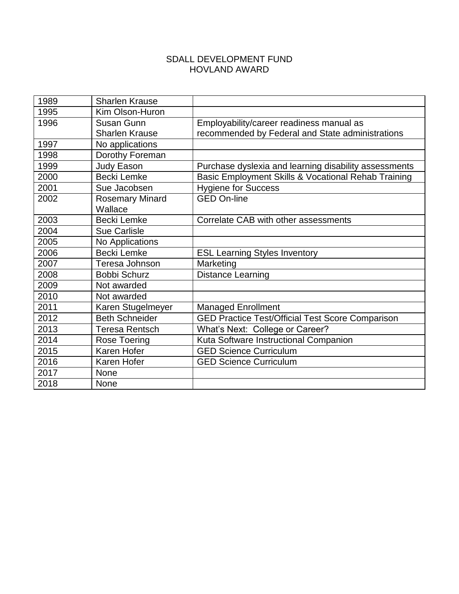#### SDALL DEVELOPMENT FUND HOVLAND AWARD

| 1989 | <b>Sharlen Krause</b>  |                                                         |
|------|------------------------|---------------------------------------------------------|
| 1995 | Kim Olson-Huron        |                                                         |
| 1996 | Susan Gunn             | Employability/career readiness manual as                |
|      | <b>Sharlen Krause</b>  | recommended by Federal and State administrations        |
| 1997 | No applications        |                                                         |
| 1998 | Dorothy Foreman        |                                                         |
| 1999 | Judy Eason             | Purchase dyslexia and learning disability assessments   |
| 2000 | Becki Lemke            | Basic Employment Skills & Vocational Rehab Training     |
| 2001 | Sue Jacobsen           | <b>Hygiene for Success</b>                              |
| 2002 | <b>Rosemary Minard</b> | <b>GED On-line</b>                                      |
|      | Wallace                |                                                         |
| 2003 | Becki Lemke            | Correlate CAB with other assessments                    |
| 2004 | <b>Sue Carlisle</b>    |                                                         |
| 2005 | No Applications        |                                                         |
| 2006 | Becki Lemke            | <b>ESL Learning Styles Inventory</b>                    |
| 2007 | Teresa Johnson         | Marketing                                               |
| 2008 | <b>Bobbi Schurz</b>    | <b>Distance Learning</b>                                |
| 2009 | Not awarded            |                                                         |
| 2010 | Not awarded            |                                                         |
| 2011 | Karen Stugelmeyer      | <b>Managed Enrollment</b>                               |
| 2012 | <b>Beth Schneider</b>  | <b>GED Practice Test/Official Test Score Comparison</b> |
| 2013 | <b>Teresa Rentsch</b>  | What's Next: College or Career?                         |
| 2014 | Rose Toering           | Kuta Software Instructional Companion                   |
| 2015 | Karen Hofer            | <b>GED Science Curriculum</b>                           |
| 2016 | Karen Hofer            | <b>GED Science Curriculum</b>                           |
| 2017 | None                   |                                                         |
| 2018 | None                   |                                                         |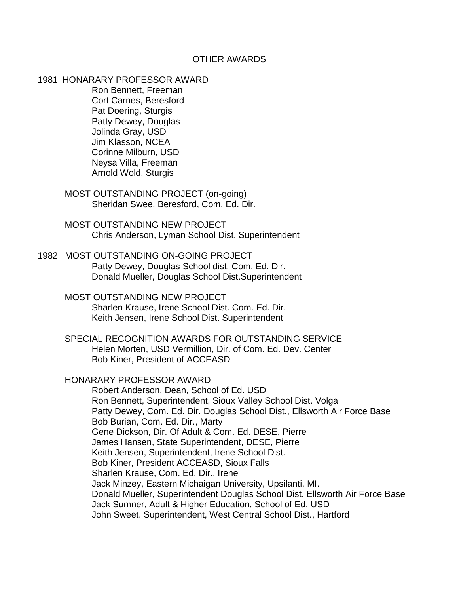#### OTHER AWARDS

1981 HONARARY PROFESSOR AWARD

Ron Bennett, Freeman Cort Carnes, Beresford Pat Doering, Sturgis Patty Dewey, Douglas Jolinda Gray, USD Jim Klasson, NCEA Corinne Milburn, USD Neysa Villa, Freeman Arnold Wold, Sturgis

- MOST OUTSTANDING PROJECT (on-going) Sheridan Swee, Beresford, Com. Ed. Dir.
- MOST OUTSTANDING NEW PROJECT Chris Anderson, Lyman School Dist. Superintendent
- 1982 MOST OUTSTANDING ON-GOING PROJECT Patty Dewey, Douglas School dist. Com. Ed. Dir. Donald Mueller, Douglas School Dist.Superintendent
	- MOST OUTSTANDING NEW PROJECT Sharlen Krause, Irene School Dist. Com. Ed. Dir. Keith Jensen, Irene School Dist. Superintendent
	- SPECIAL RECOGNITION AWARDS FOR OUTSTANDING SERVICE Helen Morten, USD Vermillion, Dir. of Com. Ed. Dev. Center Bob Kiner, President of ACCEASD

#### HONARARY PROFESSOR AWARD

Robert Anderson, Dean, School of Ed. USD Ron Bennett, Superintendent, Sioux Valley School Dist. Volga Patty Dewey, Com. Ed. Dir. Douglas School Dist., Ellsworth Air Force Base Bob Burian, Com. Ed. Dir., Marty Gene Dickson, Dir. Of Adult & Com. Ed. DESE, Pierre James Hansen, State Superintendent, DESE, Pierre Keith Jensen, Superintendent, Irene School Dist. Bob Kiner, President ACCEASD, Sioux Falls Sharlen Krause, Com. Ed. Dir., Irene Jack Minzey, Eastern Michaigan University, Upsilanti, MI. Donald Mueller, Superintendent Douglas School Dist. Ellsworth Air Force Base Jack Sumner, Adult & Higher Education, School of Ed. USD John Sweet. Superintendent, West Central School Dist., Hartford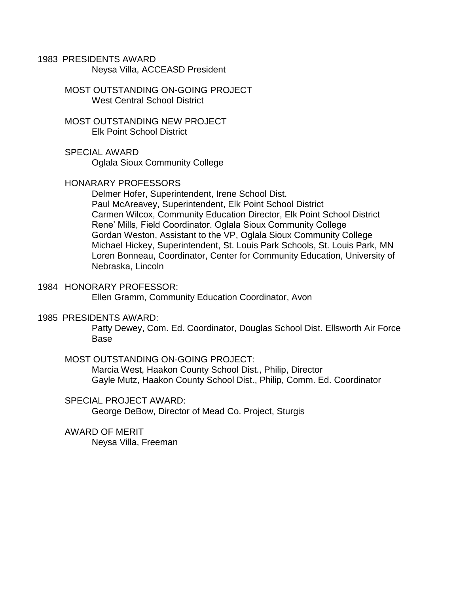1983 PRESIDENTS AWARD Neysa Villa, ACCEASD President

> MOST OUTSTANDING ON-GOING PROJECT West Central School District

MOST OUTSTANDING NEW PROJECT Elk Point School District

SPECIAL AWARD Oglala Sioux Community College

#### HONARARY PROFESSORS

Delmer Hofer, Superintendent, Irene School Dist. Paul McAreavey, Superintendent, Elk Point School District Carmen Wilcox, Community Education Director, Elk Point School District Rene' Mills, Field Coordinator. Oglala Sioux Community College Gordan Weston, Assistant to the VP, Oglala Sioux Community College Michael Hickey, Superintendent, St. Louis Park Schools, St. Louis Park, MN Loren Bonneau, Coordinator, Center for Community Education, University of Nebraska, Lincoln

#### 1984 HONORARY PROFESSOR:

Ellen Gramm, Community Education Coordinator, Avon

#### 1985 PRESIDENTS AWARD:

Patty Dewey, Com. Ed. Coordinator, Douglas School Dist. Ellsworth Air Force Base

#### MOST OUTSTANDING ON-GOING PROJECT:

Marcia West, Haakon County School Dist., Philip, Director Gayle Mutz, Haakon County School Dist., Philip, Comm. Ed. Coordinator

#### SPECIAL PROJECT AWARD:

George DeBow, Director of Mead Co. Project, Sturgis

#### AWARD OF MERIT

Neysa Villa, Freeman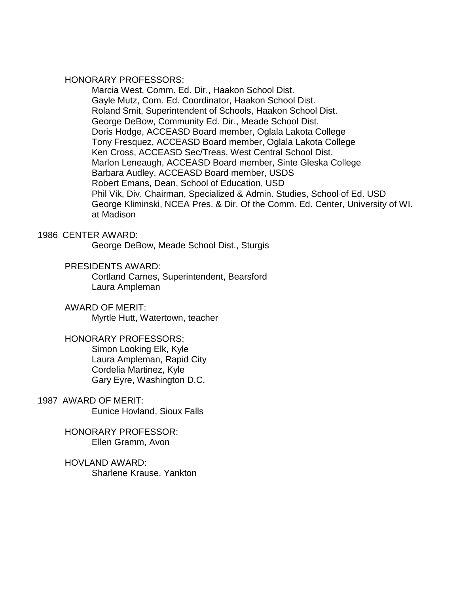#### HONORARY PROFESSORS:

Marcia West, Comm. Ed. Dir., Haakon School Dist. Gayle Mutz, Com. Ed. Coordinator, Haakon School Dist. Roland Smit, Superintendent of Schools, Haakon School Dist. George DeBow, Community Ed. Dir., Meade School Dist. Doris Hodge, ACCEASD Board member, Oglala Lakota College Tony Fresquez, ACCEASD Board member, Oglala Lakota College Ken Cross, ACCEASD Sec/Treas, West Central School Dist. Marlon Leneaugh, ACCEASD Board member, Sinte Gleska College Barbara Audley, ACCEASD Board member, USDS Robert Emans, Dean, School of Education, USD Phil Vik, Div. Chairman, Specialized & Admin. Studies, School of Ed. USD George Kliminski, NCEA Pres. & Dir. Of the Comm. Ed. Center, University of WI. at Madison

#### 1986 CENTER AWARD:

George DeBow, Meade School Dist., Sturgis

#### PRESIDENTS AWARD:

Cortland Carnes, Superintendent, Bearsford Laura Ampleman

#### AWARD OF MERIT:

Myrtle Hutt, Watertown, teacher

#### HONORARY PROFESSORS:

Simon Looking Elk, Kyle Laura Ampleman, Rapid City Cordelia Martinez, Kyle Gary Eyre, Washington D.C.

# 1987 AWARD OF MERIT:

Eunice Hovland, Sioux Falls

HONORARY PROFESSOR: Ellen Gramm, Avon

HOVLAND AWARD: Sharlene Krause, Yankton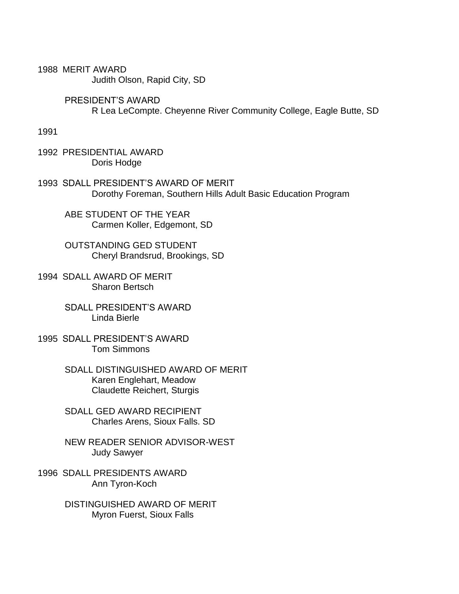1988 MERIT AWARD Judith Olson, Rapid City, SD

> PRESIDENT'S AWARD R Lea LeCompte. Cheyenne River Community College, Eagle Butte, SD

1991

1992 PRESIDENTIAL AWARD Doris Hodge

1993 SDALL PRESIDENT'S AWARD OF MERIT Dorothy Foreman, Southern Hills Adult Basic Education Program

ABE STUDENT OF THE YEAR Carmen Koller, Edgemont, SD

OUTSTANDING GED STUDENT Cheryl Brandsrud, Brookings, SD

1994 SDALL AWARD OF MERIT Sharon Bertsch

> SDALL PRESIDENT'S AWARD Linda Bierle

1995 SDALL PRESIDENT'S AWARD Tom Simmons

> SDALL DISTINGUISHED AWARD OF MERIT Karen Englehart, Meadow Claudette Reichert, Sturgis

SDALL GED AWARD RECIPIENT Charles Arens, Sioux Falls. SD

NEW READER SENIOR ADVISOR-WEST Judy Sawyer

1996 SDALL PRESIDENTS AWARD Ann Tyron-Koch

> DISTINGUISHED AWARD OF MERIT Myron Fuerst, Sioux Falls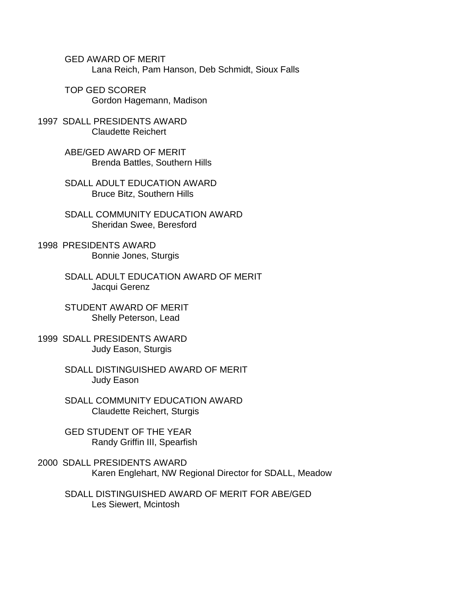GED AWARD OF MERIT Lana Reich, Pam Hanson, Deb Schmidt, Sioux Falls

TOP GED SCORER Gordon Hagemann, Madison

1997 SDALL PRESIDENTS AWARD Claudette Reichert

> ABE/GED AWARD OF MERIT Brenda Battles, Southern Hills

SDALL ADULT EDUCATION AWARD Bruce Bitz, Southern Hills

SDALL COMMUNITY EDUCATION AWARD Sheridan Swee, Beresford

1998 PRESIDENTS AWARD Bonnie Jones, Sturgis

> SDALL ADULT EDUCATION AWARD OF MERIT Jacqui Gerenz

STUDENT AWARD OF MERIT Shelly Peterson, Lead

1999 SDALL PRESIDENTS AWARD Judy Eason, Sturgis

> SDALL DISTINGUISHED AWARD OF MERIT Judy Eason

SDALL COMMUNITY EDUCATION AWARD Claudette Reichert, Sturgis

GED STUDENT OF THE YEAR Randy Griffin III, Spearfish

2000 SDALL PRESIDENTS AWARD Karen Englehart, NW Regional Director for SDALL, Meadow

SDALL DISTINGUISHED AWARD OF MERIT FOR ABE/GED Les Siewert, Mcintosh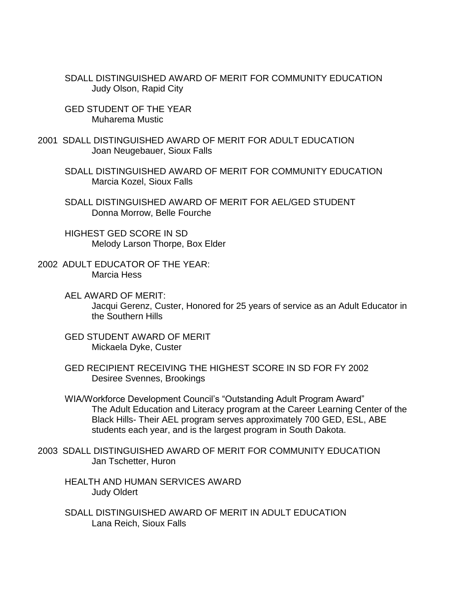SDALL DISTINGUISHED AWARD OF MERIT FOR COMMUNITY EDUCATION Judy Olson, Rapid City

- GED STUDENT OF THE YEAR Muharema Mustic
- 2001 SDALL DISTINGUISHED AWARD OF MERIT FOR ADULT EDUCATION Joan Neugebauer, Sioux Falls
	- SDALL DISTINGUISHED AWARD OF MERIT FOR COMMUNITY EDUCATION Marcia Kozel, Sioux Falls
	- SDALL DISTINGUISHED AWARD OF MERIT FOR AEL/GED STUDENT Donna Morrow, Belle Fourche
	- HIGHEST GED SCORE IN SD Melody Larson Thorpe, Box Elder
- 2002 ADULT EDUCATOR OF THE YEAR: Marcia Hess
	- AEL AWARD OF MERIT: Jacqui Gerenz, Custer, Honored for 25 years of service as an Adult Educator in the Southern Hills
	- GED STUDENT AWARD OF MERIT Mickaela Dyke, Custer
	- GED RECIPIENT RECEIVING THE HIGHEST SCORE IN SD FOR FY 2002 Desiree Svennes, Brookings
	- WIA/Workforce Development Council's "Outstanding Adult Program Award" The Adult Education and Literacy program at the Career Learning Center of the Black Hills- Their AEL program serves approximately 700 GED, ESL, ABE students each year, and is the largest program in South Dakota.
- 2003 SDALL DISTINGUISHED AWARD OF MERIT FOR COMMUNITY EDUCATION Jan Tschetter, Huron
	- HEALTH AND HUMAN SERVICES AWARD Judy Oldert
	- SDALL DISTINGUISHED AWARD OF MERIT IN ADULT EDUCATION Lana Reich, Sioux Falls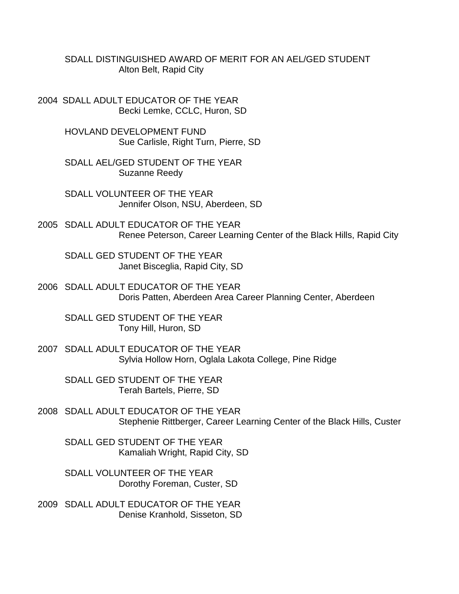SDALL DISTINGUISHED AWARD OF MERIT FOR AN AEL/GED STUDENT Alton Belt, Rapid City

2004 SDALL ADULT EDUCATOR OF THE YEAR Becki Lemke, CCLC, Huron, SD

> HOVLAND DEVELOPMENT FUND Sue Carlisle, Right Turn, Pierre, SD

SDALL AEL/GED STUDENT OF THE YEAR Suzanne Reedy

SDALL VOLUNTEER OF THE YEAR Jennifer Olson, NSU, Aberdeen, SD

2005 SDALL ADULT EDUCATOR OF THE YEAR Renee Peterson, Career Learning Center of the Black Hills, Rapid City

SDALL GED STUDENT OF THE YEAR Janet Bisceglia, Rapid City, SD

2006 SDALL ADULT EDUCATOR OF THE YEAR Doris Patten, Aberdeen Area Career Planning Center, Aberdeen

SDALL GED STUDENT OF THE YEAR Tony Hill, Huron, SD

2007 SDALL ADULT EDUCATOR OF THE YEAR Sylvia Hollow Horn, Oglala Lakota College, Pine Ridge

SDALL GED STUDENT OF THE YEAR Terah Bartels, Pierre, SD

2008 SDALL ADULT EDUCATOR OF THE YEAR Stephenie Rittberger, Career Learning Center of the Black Hills, Custer

SDALL GED STUDENT OF THE YEAR Kamaliah Wright, Rapid City, SD

SDALL VOLUNTEER OF THE YEAR Dorothy Foreman, Custer, SD

2009 SDALL ADULT EDUCATOR OF THE YEAR Denise Kranhold, Sisseton, SD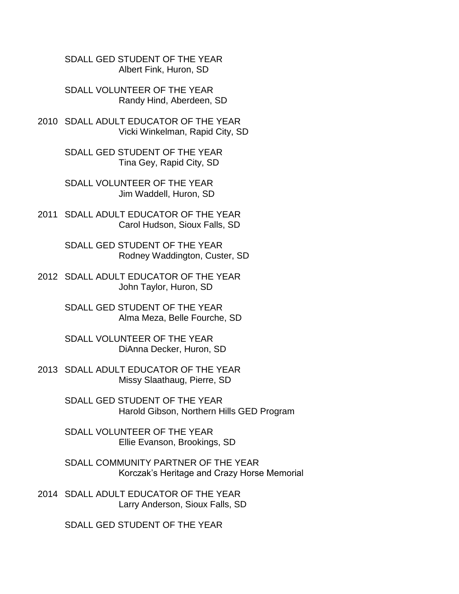SDALL GED STUDENT OF THE YEAR Albert Fink, Huron, SD

SDALL VOLUNTEER OF THE YEAR Randy Hind, Aberdeen, SD

2010 SDALL ADULT EDUCATOR OF THE YEAR Vicki Winkelman, Rapid City, SD

> SDALL GED STUDENT OF THE YEAR Tina Gey, Rapid City, SD

SDALL VOLUNTEER OF THE YEAR Jim Waddell, Huron, SD

2011 SDALL ADULT EDUCATOR OF THE YEAR Carol Hudson, Sioux Falls, SD

> SDALL GED STUDENT OF THE YEAR Rodney Waddington, Custer, SD

2012 SDALL ADULT EDUCATOR OF THE YEAR John Taylor, Huron, SD

> SDALL GED STUDENT OF THE YEAR Alma Meza, Belle Fourche, SD

SDALL VOLUNTEER OF THE YEAR DiAnna Decker, Huron, SD

2013 SDALL ADULT EDUCATOR OF THE YEAR Missy Slaathaug, Pierre, SD

> SDALL GED STUDENT OF THE YEAR Harold Gibson, Northern Hills GED Program

SDALL VOLUNTEER OF THE YEAR Ellie Evanson, Brookings, SD

SDALL COMMUNITY PARTNER OF THE YEAR Korczak's Heritage and Crazy Horse Memorial

2014 SDALL ADULT EDUCATOR OF THE YEAR Larry Anderson, Sioux Falls, SD

SDALL GED STUDENT OF THE YEAR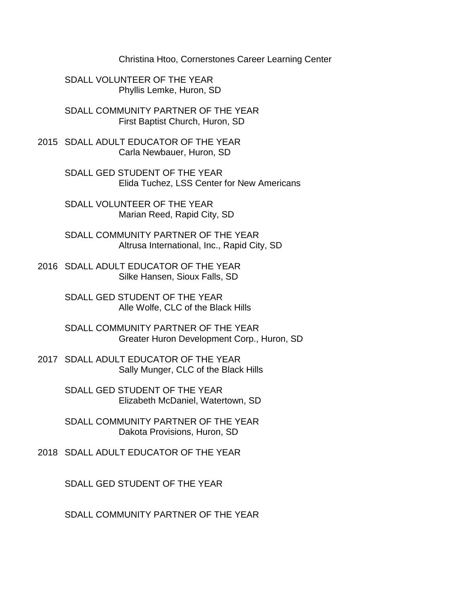Christina Htoo, Cornerstones Career Learning Center

SDALL VOLUNTEER OF THE YEAR Phyllis Lemke, Huron, SD

SDALL COMMUNITY PARTNER OF THE YEAR First Baptist Church, Huron, SD

2015 SDALL ADULT EDUCATOR OF THE YEAR Carla Newbauer, Huron, SD

> SDALL GED STUDENT OF THE YEAR Elida Tuchez, LSS Center for New Americans

SDALL VOLUNTEER OF THE YEAR Marian Reed, Rapid City, SD

SDALL COMMUNITY PARTNER OF THE YEAR Altrusa International, Inc., Rapid City, SD

2016 SDALL ADULT EDUCATOR OF THE YEAR Silke Hansen, Sioux Falls, SD

> SDALL GED STUDENT OF THE YEAR Alle Wolfe, CLC of the Black Hills

SDALL COMMUNITY PARTNER OF THE YEAR Greater Huron Development Corp., Huron, SD

2017 SDALL ADULT EDUCATOR OF THE YEAR Sally Munger, CLC of the Black Hills

> SDALL GED STUDENT OF THE YEAR Elizabeth McDaniel, Watertown, SD

> SDALL COMMUNITY PARTNER OF THE YEAR Dakota Provisions, Huron, SD

2018 SDALL ADULT EDUCATOR OF THE YEAR

SDALL GED STUDENT OF THE YEAR

SDALL COMMUNITY PARTNER OF THE YEAR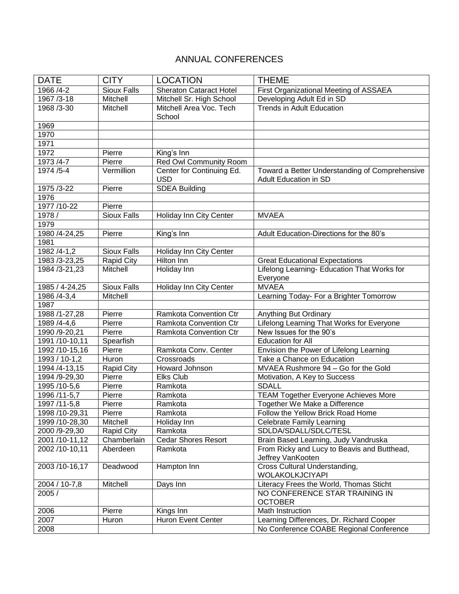## ANNUAL CONFERENCES

| <b>DATE</b>    | <b>CITY</b>        | <b>LOCATION</b>                         | <b>THEME</b>                                                                   |
|----------------|--------------------|-----------------------------------------|--------------------------------------------------------------------------------|
| 1966 /4-2      | <b>Sioux Falls</b> | <b>Sheraton Cataract Hotel</b>          | First Organizational Meeting of ASSAEA                                         |
| 1967 /3-18     | Mitchell           | Mitchell Sr. High School                | Developing Adult Ed in SD                                                      |
| 1968 / 3-30    | Mitchell           | Mitchell Area Voc. Tech<br>School       | Trends in Adult Education                                                      |
| 1969           |                    |                                         |                                                                                |
| 1970           |                    |                                         |                                                                                |
| 1971           |                    |                                         |                                                                                |
| 1972           | Pierre             | King's Inn                              |                                                                                |
| 1973 /4-7      | Pierre             | <b>Red Owl Community Room</b>           |                                                                                |
| 1974 / 5-4     | Vermillion         | Center for Continuing Ed.<br><b>USD</b> | Toward a Better Understanding of Comprehensive<br><b>Adult Education in SD</b> |
| 1975 /3-22     | Pierre             | <b>SDEA Building</b>                    |                                                                                |
| 1976           |                    |                                         |                                                                                |
| 1977 /10-22    | Pierre             |                                         |                                                                                |
| 1978 /         | <b>Sioux Falls</b> | Holiday Inn City Center                 | <b>MVAEA</b>                                                                   |
| 1979           |                    |                                         |                                                                                |
| 1980 /4-24,25  | Pierre             | King's Inn                              | Adult Education-Directions for the 80's                                        |
| 1981           |                    |                                         |                                                                                |
| 1982 /4-1,2    | <b>Sioux Falls</b> | Holiday Inn City Center                 |                                                                                |
| 1983 /3-23,25  | <b>Rapid City</b>  | Hilton Inn                              | <b>Great Educational Expectations</b>                                          |
| 1984 /3-21,23  | Mitchell           | Holiday Inn                             | Lifelong Learning- Education That Works for<br>Everyone                        |
| 1985 / 4-24,25 | Sioux Falls        | Holiday Inn City Center                 | <b>MVAEA</b>                                                                   |
| 1986 /4-3,4    | Mitchell           |                                         | Learning Today- For a Brighter Tomorrow                                        |
| 1987           |                    |                                         |                                                                                |
| 1988 /1-27,28  | Pierre             | Ramkota Convention Ctr                  | Anything But Ordinary                                                          |
| 1989 /4-4,6    | Pierre             | <b>Ramkota Convention Ctr</b>           | Lifelong Learning That Works for Everyone                                      |
| 1990 /9-20,21  | Pierre             | Ramkota Convention Ctr                  | New Issues for the 90's                                                        |
| 1991 /10-10,11 | Spearfish          |                                         | <b>Education for All</b>                                                       |
| 1992 /10-15,16 | Pierre             | Ramkota Conv. Center                    | Envision the Power of Lifelong Learning                                        |
| 1993 / 10-1,2  | Huron              | Crossroads                              | Take a Chance on Education                                                     |
| 1994 /4-13,15  | <b>Rapid City</b>  | Howard Johnson                          | MVAEA Rushmore 94 - Go for the Gold                                            |
| 1994 /9-29,30  | Pierre             | <b>Elks Club</b>                        | Motivation, A Key to Success                                                   |
| 1995 /10-5,6   | Pierre             | Ramkota                                 | <b>SDALL</b>                                                                   |
| 1996 /11-5,7   | Pierre             | Ramkota                                 | <b>TEAM Together Everyone Achieves More</b>                                    |
| 1997 /11-5,8   | Pierre             | Ramkota                                 | Together We Make a Difference                                                  |
| 1998 /10-29,31 | Pierre             | Ramkota                                 | Follow the Yellow Brick Road Home                                              |
| 1999 /10-28,30 | Mitchell           | Holiday Inn                             | <b>Celebrate Family Learning</b>                                               |
| 2000 /9-29,30  | <b>Rapid City</b>  | Ramkota                                 | SDLDA/SDALL/SDLC/TESL                                                          |
| 2001/10-11,12  | Chamberlain        | <b>Cedar Shores Resort</b>              | Brain Based Learning, Judy Vandruska                                           |
| 2002 /10-10,11 | Aberdeen           | Ramkota                                 | From Ricky and Lucy to Beavis and Butthead,                                    |
|                |                    |                                         | Jeffrey VanKooten                                                              |
| 2003 /10-16,17 | Deadwood           | Hampton Inn                             | Cross Cultural Understanding,<br>WOLAKOLKJCIYAPI                               |
| 2004 / 10-7,8  | Mitchell           | Days Inn                                | Literacy Frees the World, Thomas Sticht                                        |
| 2005 /         |                    |                                         | NO CONFERENCE STAR TRAINING IN                                                 |
|                |                    |                                         | <b>OCTOBER</b>                                                                 |
| 2006           | Pierre             | Kings Inn                               | Math Instruction                                                               |
| 2007           | Huron              | Huron Event Center                      | Learning Differences, Dr. Richard Cooper                                       |
| 2008           |                    |                                         | No Conference COABE Regional Conference                                        |